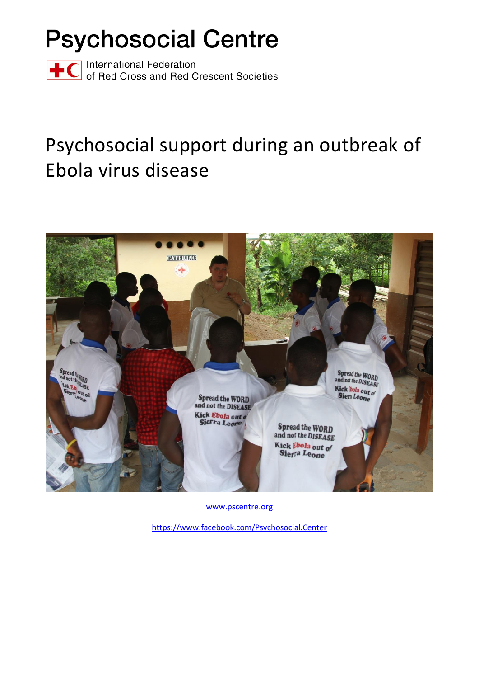# **Psychosocial Centre**

Thernational Federation<br>The Corporational Red Crescent Societies

## Psychosocial support during an outbreak of Ebola virus disease



[www.pscentre.org](http://www.pscentre.org/)

<https://www.facebook.com/Psychosocial.Center>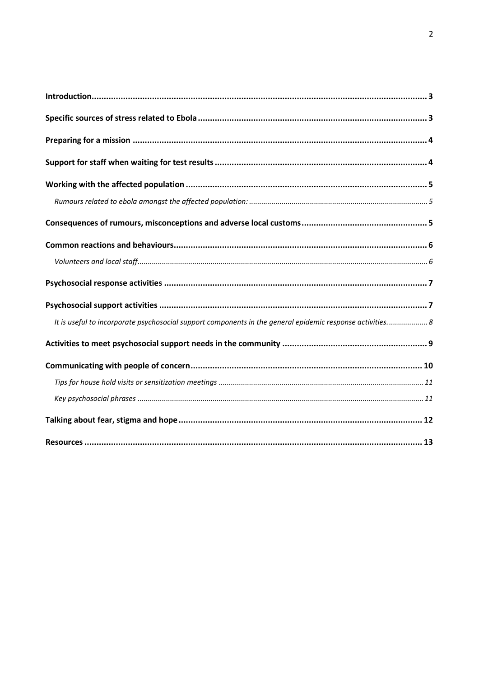| It is useful to incorporate psychosocial support components in the general epidemic response activities 8 |
|-----------------------------------------------------------------------------------------------------------|
|                                                                                                           |
|                                                                                                           |
|                                                                                                           |
|                                                                                                           |
|                                                                                                           |
|                                                                                                           |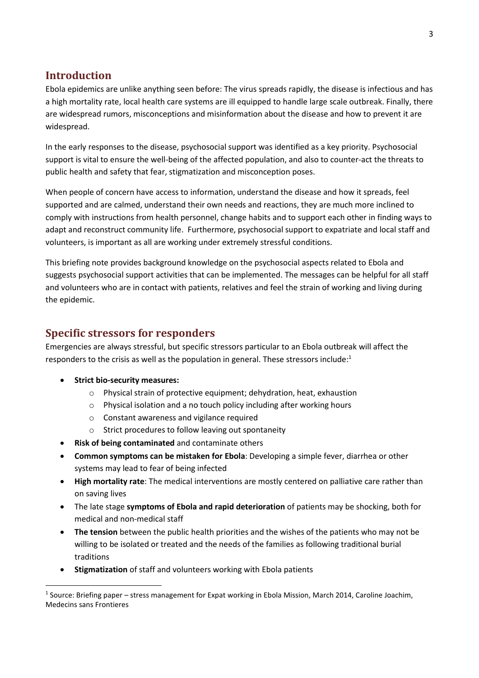## <span id="page-2-0"></span>**Introduction**

Ebola epidemics are unlike anything seen before: The virus spreads rapidly, the disease is infectious and has a high mortality rate, local health care systems are ill equipped to handle large scale outbreak. Finally, there are widespread rumors, misconceptions and misinformation about the disease and how to prevent it are widespread.

In the early responses to the disease, psychosocial support was identified as a key priority. Psychosocial support is vital to ensure the well-being of the affected population, and also to counter-act the threats to public health and safety that fear, stigmatization and misconception poses.

When people of concern have access to information, understand the disease and how it spreads, feel supported and are calmed, understand their own needs and reactions, they are much more inclined to comply with instructions from health personnel, change habits and to support each other in finding ways to adapt and reconstruct community life. Furthermore, psychosocial support to expatriate and local staff and volunteers, is important as all are working under extremely stressful conditions.

This briefing note provides background knowledge on the psychosocial aspects related to Ebola and suggests psychosocial support activities that can be implemented. The messages can be helpful for all staff and volunteers who are in contact with patients, relatives and feel the strain of working and living during the epidemic.

## <span id="page-2-1"></span>**Specific stressors for responders**

Emergencies are always stressful, but specific stressors particular to an Ebola outbreak will affect the responders to the crisis as well as the population in general. These stressors include:<sup>1</sup>

• **Strict bio-security measures:**

**.** 

- o Physical strain of protective equipment; dehydration, heat, exhaustion
- o Physical isolation and a no touch policy including after working hours
- o Constant awareness and vigilance required
- o Strict procedures to follow leaving out spontaneity
- **Risk of being contaminated** and contaminate others
- **Common symptoms can be mistaken for Ebola**: Developing a simple fever, diarrhea or other systems may lead to fear of being infected
- **High mortality rate**: The medical interventions are mostly centered on palliative care rather than on saving lives
- The late stage **symptoms of Ebola and rapid deterioration** of patients may be shocking, both for medical and non-medical staff
- **The tension** between the public health priorities and the wishes of the patients who may not be willing to be isolated or treated and the needs of the families as following traditional burial traditions
- **Stigmatization** of staff and volunteers working with Ebola patients

<sup>&</sup>lt;sup>1</sup> Source: Briefing paper – stress management for Expat working in Ebola Mission, March 2014, Caroline Joachim, Medecins sans Frontieres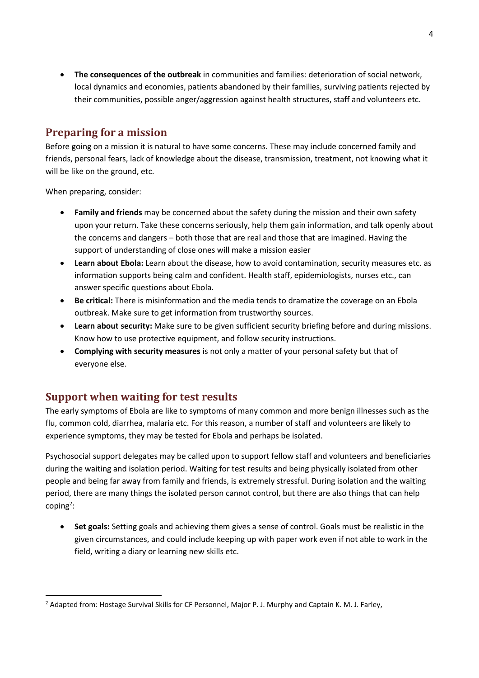• **The consequences of the outbreak** in communities and families: deterioration of social network, local dynamics and economies, patients abandoned by their families, surviving patients rejected by their communities, possible anger/aggression against health structures, staff and volunteers etc.

## <span id="page-3-0"></span>**Preparing for a mission**

Before going on a mission it is natural to have some concerns. These may include concerned family and friends, personal fears, lack of knowledge about the disease, transmission, treatment, not knowing what it will be like on the ground, etc.

When preparing, consider:

1

- **Family and friends** may be concerned about the safety during the mission and their own safety upon your return. Take these concerns seriously, help them gain information, and talk openly about the concerns and dangers – both those that are real and those that are imagined. Having the support of understanding of close ones will make a mission easier
- **Learn about Ebola:** Learn about the disease, how to avoid contamination, security measures etc. as information supports being calm and confident. Health staff, epidemiologists, nurses etc., can answer specific questions about Ebola.
- **Be critical:** There is misinformation and the media tends to dramatize the coverage on an Ebola outbreak. Make sure to get information from trustworthy sources.
- **Learn about security:** Make sure to be given sufficient security briefing before and during missions. Know how to use protective equipment, and follow security instructions.
- **Complying with security measures** is not only a matter of your personal safety but that of everyone else.

## <span id="page-3-1"></span>**Support when waiting for test results**

The early symptoms of Ebola are like to symptoms of many common and more benign illnesses such as the flu, common cold, diarrhea, malaria etc. For this reason, a number of staff and volunteers are likely to experience symptoms, they may be tested for Ebola and perhaps be isolated.

Psychosocial support delegates may be called upon to support fellow staff and volunteers and beneficiaries during the waiting and isolation period. Waiting for test results and being physically isolated from other people and being far away from family and friends, is extremely stressful. During isolation and the waiting period, there are many things the isolated person cannot control, but there are also things that can help coping<sup>2</sup>:

• **Set goals:** Setting goals and achieving them gives a sense of control. Goals must be realistic in the given circumstances, and could include keeping up with paper work even if not able to work in the field, writing a diary or learning new skills etc.

<sup>&</sup>lt;sup>2</sup> Adapted from: Hostage Survival Skills for CF Personnel, Major P. J. Murphy and Captain K. M. J. Farley,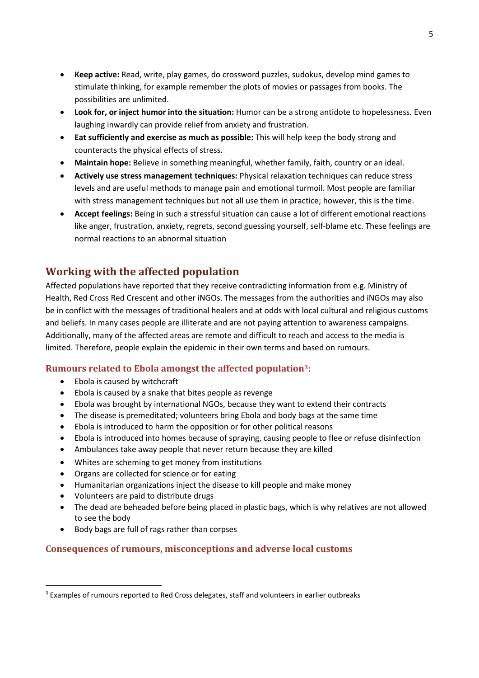- **Keep active:** Read, write, play games, do crossword puzzles, sudokus, develop mind games to stimulate thinking, for example remember the plots of movies or passages from books. The possibilities are unlimited.
- **Look for, or inject humor into the situation:** Humor can be a strong antidote to hopelessness. Even laughing inwardly can provide relief from anxiety and frustration.
- **Eat sufficiently and exercise as much as possible:** This will help keep the body strong and counteracts the physical effects of stress.
- **Maintain hope:** Believe in something meaningful, whether family, faith, country or an ideal.
- **Actively use stress management techniques:** Physical relaxation techniques can reduce stress levels and are useful methods to manage pain and emotional turmoil. Most people are familiar with stress management techniques but not all use them in practice; however, this is the time.
- **Accept feelings:** Being in such a stressful situation can cause a lot of different emotional reactions like anger, frustration, anxiety, regrets, second guessing yourself, self-blame etc. These feelings are normal reactions to an abnormal situation

## <span id="page-4-0"></span>**Working with the affected population**

Affected populations have reported that they receive contradicting information from e.g. Ministry of Health, Red Cross Red Crescent and other iNGOs. The messages from the authorities and iNGOs may also be in conflict with the messages of traditional healers and at odds with local cultural and religious customs and beliefs. In many cases people are illiterate and are not paying attention to awareness campaigns. Additionally, many of the affected areas are remote and difficult to reach and access to the media is limited. Therefore, people explain the epidemic in their own terms and based on rumours.

## <span id="page-4-1"></span>**Rumours related to Ebola amongst the affected population3:**

- Ebola is caused by witchcraft
- Ebola is caused by a snake that bites people as revenge
- Ebola was brought by international NGOs, because they want to extend their contracts
- The disease is premeditated; volunteers bring Ebola and body bags at the same time
- Ebola is introduced to harm the opposition or for other political reasons
- Ebola is introduced into homes because of spraying, causing people to flee or refuse disinfection
- Ambulances take away people that never return because they are killed
- Whites are scheming to get money from institutions
- Organs are collected for science or for eating
- Humanitarian organizations inject the disease to kill people and make money
- Volunteers are paid to distribute drugs

**.** 

- The dead are beheaded before being placed in plastic bags, which is why relatives are not allowed to see the body
- Body bags are full of rags rather than corpses

## <span id="page-4-2"></span>**Consequences of rumours, misconceptions and adverse local customs**

<sup>&</sup>lt;sup>3</sup> Examples of rumours reported to Red Cross delegates, staff and volunteers in earlier outbreaks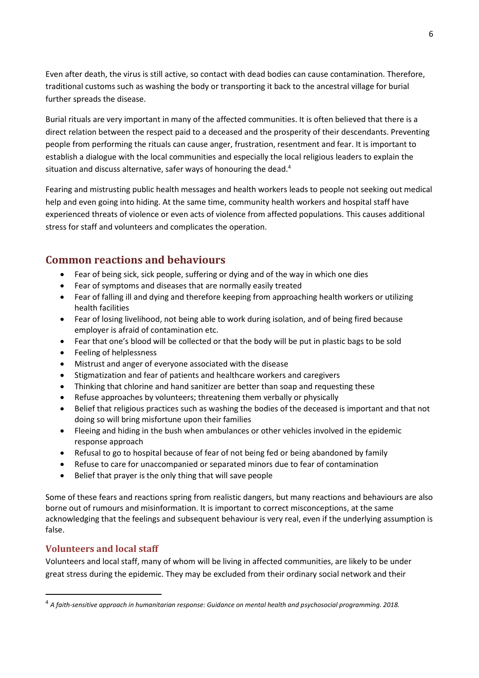Even after death, the virus is still active, so contact with dead bodies can cause contamination. Therefore, traditional customs such as washing the body or transporting it back to the ancestral village for burial further spreads the disease.

Burial rituals are very important in many of the affected communities. It is often believed that there is a direct relation between the respect paid to a deceased and the prosperity of their descendants. Preventing people from performing the rituals can cause anger, frustration, resentment and fear. It is important to establish a dialogue with the local communities and especially the local religious leaders to explain the situation and discuss alternative, safer ways of honouring the dead.<sup>4</sup>

Fearing and mistrusting public health messages and health workers leads to people not seeking out medical help and even going into hiding. At the same time, community health workers and hospital staff have experienced threats of violence or even acts of violence from affected populations. This causes additional stress for staff and volunteers and complicates the operation.

## <span id="page-5-0"></span>**Common reactions and behaviours**

- Fear of being sick, sick people, suffering or dying and of the way in which one dies
- Fear of symptoms and diseases that are normally easily treated
- Fear of falling ill and dying and therefore keeping from approaching health workers or utilizing health facilities
- Fear of losing livelihood, not being able to work during isolation, and of being fired because employer is afraid of contamination etc.
- Fear that one's blood will be collected or that the body will be put in plastic bags to be sold
- Feeling of helplessness
- Mistrust and anger of everyone associated with the disease
- Stigmatization and fear of patients and healthcare workers and caregivers
- Thinking that chlorine and hand sanitizer are better than soap and requesting these
- Refuse approaches by volunteers; threatening them verbally or physically
- Belief that religious practices such as washing the bodies of the deceased is important and that not doing so will bring misfortune upon their families
- Fleeing and hiding in the bush when ambulances or other vehicles involved in the epidemic response approach
- Refusal to go to hospital because of fear of not being fed or being abandoned by family
- Refuse to care for unaccompanied or separated minors due to fear of contamination
- Belief that prayer is the only thing that will save people

Some of these fears and reactions spring from realistic dangers, but many reactions and behaviours are also borne out of rumours and misinformation. It is important to correct misconceptions, at the same acknowledging that the feelings and subsequent behaviour is very real, even if the underlying assumption is false.

## <span id="page-5-1"></span>**Volunteers and local staff**

**.** 

Volunteers and local staff, many of whom will be living in affected communities, are likely to be under great stress during the epidemic. They may be excluded from their ordinary social network and their

<sup>4</sup> *A faith-sensitive approach in humanitarian response: Guidance on mental health and psychosocial programming. 2018.*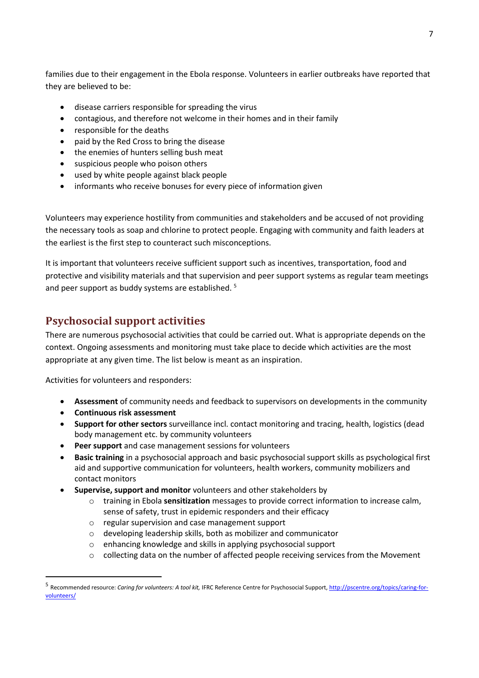<span id="page-6-0"></span>families due to their engagement in the Ebola response. Volunteers in earlier outbreaks have reported that they are believed to be:

- disease carriers responsible for spreading the virus
- contagious, and therefore not welcome in their homes and in their family
- responsible for the deaths
- paid by the Red Cross to bring the disease
- the enemies of hunters selling bush meat
- suspicious people who poison others
- used by white people against black people
- informants who receive bonuses for every piece of information given

Volunteers may experience hostility from communities and stakeholders and be accused of not providing the necessary tools as soap and chlorine to protect people. Engaging with community and faith leaders at the earliest is the first step to counteract such misconceptions.

It is important that volunteers receive sufficient support such as incentives, transportation, food and protective and visibility materials and that supervision and peer support systems as regular team meetings and peer support as buddy systems are established. 5

## <span id="page-6-1"></span>**Psychosocial support activities**

There are numerous psychosocial activities that could be carried out. What is appropriate depends on the context. Ongoing assessments and monitoring must take place to decide which activities are the most appropriate at any given time. The list below is meant as an inspiration.

Activities for volunteers and responders:

- **Assessment** of community needs and feedback to supervisors on developments in the community
- **Continuous risk assessment**

1

- **Support for other sectors** surveillance incl. contact monitoring and tracing, health, logistics (dead body management etc. by community volunteers
- **Peer support** and case management sessions for volunteers
- **Basic training** in a psychosocial approach and basic psychosocial support skills as psychological first aid and supportive communication for volunteers, health workers, community mobilizers and contact monitors
- **Supervise, support and monitor** volunteers and other stakeholders by
	- o training in Ebola **sensitization** messages to provide correct information to increase calm, sense of safety, trust in epidemic responders and their efficacy
	- o regular supervision and case management support
	- o developing leadership skills, both as mobilizer and communicator
	- o enhancing knowledge and skills in applying psychosocial support
	- o collecting data on the number of affected people receiving services from the Movement

<sup>&</sup>lt;sup>5</sup> Recommended resource: *Caring for volunteers: A tool kit*, IFRC Reference Centre for Psychosocial Support[, http://pscentre.org/topics/caring-for](http://pscentre.org/topics/caring-for-volunteers/)[volunteers/](http://pscentre.org/topics/caring-for-volunteers/)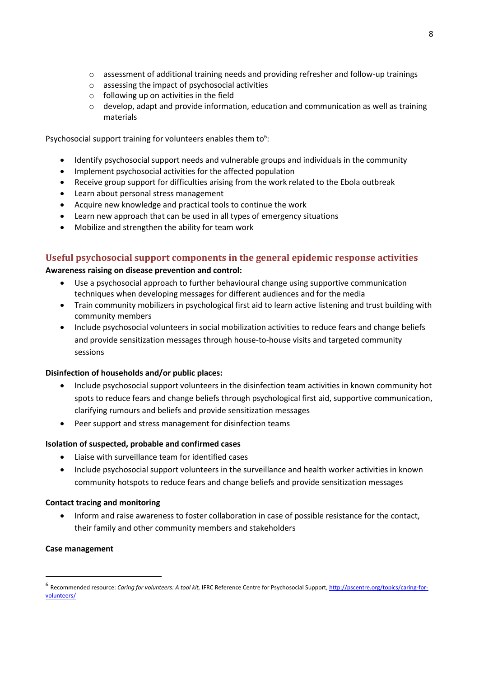- $\circ$  assessment of additional training needs and providing refresher and follow-up trainings
- o assessing the impact of psychosocial activities
- $\circ$  following up on activities in the field
- $\circ$  develop, adapt and provide information, education and communication as well as training materials

Psychosocial support training for volunteers enables them to $6$ :

- Identify psychosocial support needs and vulnerable groups and individuals in the community
- Implement psychosocial activities for the affected population
- Receive group support for difficulties arising from the work related to the Ebola outbreak
- Learn about personal stress management
- Acquire new knowledge and practical tools to continue the work
- Learn new approach that can be used in all types of emergency situations
- Mobilize and strengthen the ability for team work

## <span id="page-7-0"></span>**Useful psychosocial support components in the general epidemic response activities**

#### **Awareness raising on disease prevention and control:**

- Use a psychosocial approach to further behavioural change using supportive communication techniques when developing messages for different audiences and for the media
- Train community mobilizers in psychological first aid to learn active listening and trust building with community members
- Include psychosocial volunteers in social mobilization activities to reduce fears and change beliefs and provide sensitization messages through house-to-house visits and targeted community sessions

#### **Disinfection of households and/or public places:**

- Include psychosocial support volunteers in the disinfection team activities in known community hot spots to reduce fears and change beliefs through psychological first aid, supportive communication, clarifying rumours and beliefs and provide sensitization messages
- Peer support and stress management for disinfection teams

#### **Isolation of suspected, probable and confirmed cases**

- Liaise with surveillance team for identified cases
- Include psychosocial support volunteers in the surveillance and health worker activities in known community hotspots to reduce fears and change beliefs and provide sensitization messages

#### **Contact tracing and monitoring**

• Inform and raise awareness to foster collaboration in case of possible resistance for the contact, their family and other community members and stakeholders

#### **Case management**

1

<sup>&</sup>lt;sup>6</sup> Recommended resource: *Caring for volunteers: A tool kit*, IFRC Reference Centre for Psychosocial Support[, http://pscentre.org/topics/caring-for](http://pscentre.org/topics/caring-for-volunteers/)[volunteers/](http://pscentre.org/topics/caring-for-volunteers/)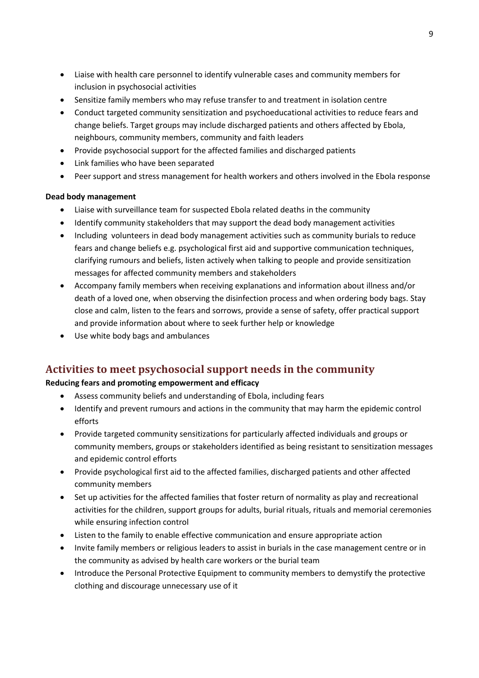- Liaise with health care personnel to identify vulnerable cases and community members for inclusion in psychosocial activities
- Sensitize family members who may refuse transfer to and treatment in isolation centre
- Conduct targeted community sensitization and psychoeducational activities to reduce fears and change beliefs. Target groups may include discharged patients and others affected by Ebola, neighbours, community members, community and faith leaders
- Provide psychosocial support for the affected families and discharged patients
- Link families who have been separated
- Peer support and stress management for health workers and others involved in the Ebola response

## **Dead body management**

- Liaise with surveillance team for suspected Ebola related deaths in the community
- Identify community stakeholders that may support the dead body management activities
- Including volunteers in dead body management activities such as community burials to reduce fears and change beliefs e.g. psychological first aid and supportive communication techniques, clarifying rumours and beliefs, listen actively when talking to people and provide sensitization messages for affected community members and stakeholders
- Accompany family members when receiving explanations and information about illness and/or death of a loved one, when observing the disinfection process and when ordering body bags. Stay close and calm, listen to the fears and sorrows, provide a sense of safety, offer practical support and provide information about where to seek further help or knowledge
- Use white body bags and ambulances

## <span id="page-8-0"></span>**Activities to meet psychosocial support needs in the community**

## **Reducing fears and promoting empowerment and efficacy**

- Assess community beliefs and understanding of Ebola, including fears
- Identify and prevent rumours and actions in the community that may harm the epidemic control efforts
- Provide targeted community sensitizations for particularly affected individuals and groups or community members, groups or stakeholders identified as being resistant to sensitization messages and epidemic control efforts
- Provide psychological first aid to the affected families, discharged patients and other affected community members
- Set up activities for the affected families that foster return of normality as play and recreational activities for the children, support groups for adults, burial rituals, rituals and memorial ceremonies while ensuring infection control
- Listen to the family to enable effective communication and ensure appropriate action
- Invite family members or religious leaders to assist in burials in the case management centre or in the community as advised by health care workers or the burial team
- Introduce the Personal Protective Equipment to community members to demystify the protective clothing and discourage unnecessary use of it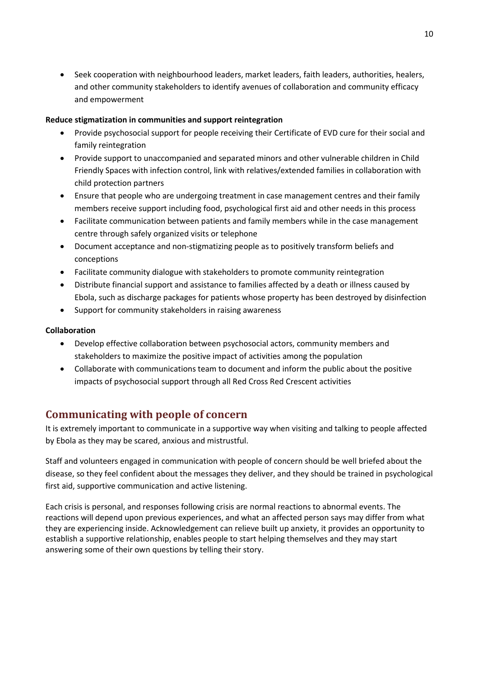• Seek cooperation with neighbourhood leaders, market leaders, faith leaders, authorities, healers, and other community stakeholders to identify avenues of collaboration and community efficacy and empowerment

## **Reduce stigmatization in communities and support reintegration**

- Provide psychosocial support for people receiving their Certificate of EVD cure for their social and family reintegration
- Provide support to unaccompanied and separated minors and other vulnerable children in Child Friendly Spaces with infection control, link with relatives/extended families in collaboration with child protection partners
- Ensure that people who are undergoing treatment in case management centres and their family members receive support including food, psychological first aid and other needs in this process
- Facilitate communication between patients and family members while in the case management centre through safely organized visits or telephone
- Document acceptance and non-stigmatizing people as to positively transform beliefs and conceptions
- Facilitate community dialogue with stakeholders to promote community reintegration
- Distribute financial support and assistance to families affected by a death or illness caused by Ebola, such as discharge packages for patients whose property has been destroyed by disinfection
- Support for community stakeholders in raising awareness

## **Collaboration**

- Develop effective collaboration between psychosocial actors, community members and stakeholders to maximize the positive impact of activities among the population
- Collaborate with communications team to document and inform the public about the positive impacts of psychosocial support through all Red Cross Red Crescent activities

## <span id="page-9-0"></span>**Communicating with people of concern**

It is extremely important to communicate in a supportive way when visiting and talking to people affected by Ebola as they may be scared, anxious and mistrustful.

Staff and volunteers engaged in communication with people of concern should be well briefed about the disease, so they feel confident about the messages they deliver, and they should be trained in psychological first aid, supportive communication and active listening.

Each crisis is personal, and responses following crisis are normal reactions to abnormal events. The reactions will depend upon previous experiences, and what an affected person says may differ from what they are experiencing inside. Acknowledgement can relieve built up anxiety, it provides an opportunity to establish a supportive relationship, enables people to start helping themselves and they may start answering some of their own questions by telling their story.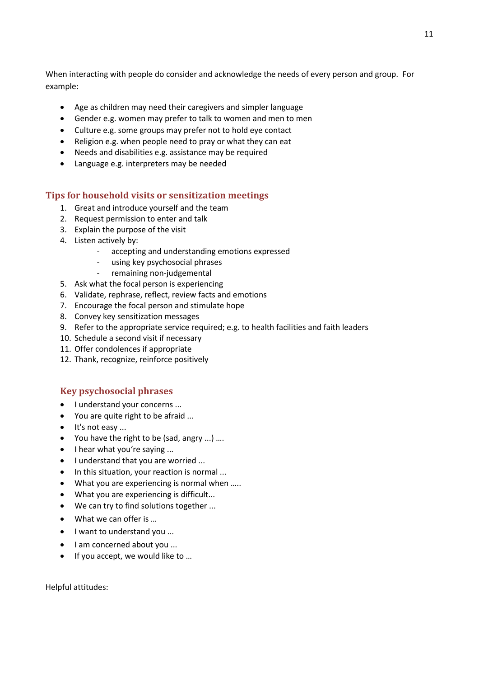When interacting with people do consider and acknowledge the needs of every person and group. For example:

- Age as children may need their caregivers and simpler language
- Gender e.g. women may prefer to talk to women and men to men
- Culture e.g. some groups may prefer not to hold eye contact
- Religion e.g. when people need to pray or what they can eat
- Needs and disabilities e.g. assistance may be required
- Language e.g. interpreters may be needed

## <span id="page-10-0"></span>**Tips for household visits or sensitization meetings**

- 1. Great and introduce yourself and the team
- 2. Request permission to enter and talk
- 3. Explain the purpose of the visit
- 4. Listen actively by:
	- accepting and understanding emotions expressed
	- using key psychosocial phrases
	- remaining non-judgemental
- 5. Ask what the focal person is experiencing
- 6. Validate, rephrase, reflect, review facts and emotions
- 7. Encourage the focal person and stimulate hope
- 8. Convey key sensitization messages
- 9. Refer to the appropriate service required; e.g. to health facilities and faith leaders
- 10. Schedule a second visit if necessary
- 11. Offer condolences if appropriate
- 12. Thank, recognize, reinforce positively

## <span id="page-10-1"></span>**Key psychosocial phrases**

- I understand your concerns ...
- You are quite right to be afraid ...
- It's not easy ...
- You have the right to be (sad, angry ...) ….
- I hear what you're saying ...
- I understand that you are worried ...
- In this situation, your reaction is normal ...
- What you are experiencing is normal when .....
- What you are experiencing is difficult...
- We can try to find solutions together ...
- What we can offer is ...
- I want to understand you ...
- I am concerned about you ...
- If you accept, we would like to …

Helpful attitudes: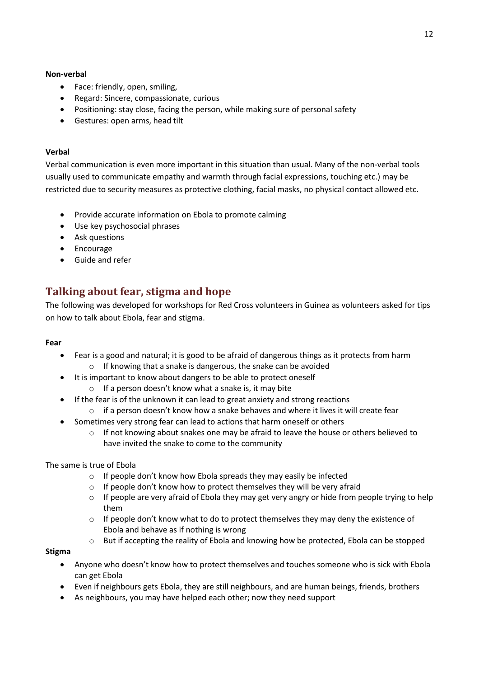#### **Non-verbal**

- Face: friendly, open, smiling,
- Regard: Sincere, compassionate, curious
- Positioning: stay close, facing the person, while making sure of personal safety
- Gestures: open arms, head tilt

#### **Verbal**

Verbal communication is even more important in this situation than usual. Many of the non-verbal tools usually used to communicate empathy and warmth through facial expressions, touching etc.) may be restricted due to security measures as protective clothing, facial masks, no physical contact allowed etc.

- Provide accurate information on Ebola to promote calming
- Use key psychosocial phrases
- Ask questions
- Encourage
- <span id="page-11-0"></span>Guide and refer

## **Talking about fear, stigma and hope**

The following was developed for workshops for Red Cross volunteers in Guinea as volunteers asked for tips on how to talk about Ebola, fear and stigma.

### **Fear**

- Fear is a good and natural; it is good to be afraid of dangerous things as it protects from harm o If knowing that a snake is dangerous, the snake can be avoided
- It is important to know about dangers to be able to protect oneself
	- o If a person doesn't know what a snake is, it may bite
- If the fear is of the unknown it can lead to great anxiety and strong reactions
	- $\circ$  if a person doesn't know how a snake behaves and where it lives it will create fear
- Sometimes very strong fear can lead to actions that harm oneself or others
	- $\circ$  If not knowing about snakes one may be afraid to leave the house or others believed to have invited the snake to come to the community

## The same is true of Ebola

- o If people don't know how Ebola spreads they may easily be infected
- o If people don't know how to protect themselves they will be very afraid
- $\circ$  If people are very afraid of Ebola they may get very angry or hide from people trying to help them
- $\circ$  If people don't know what to do to protect themselves they may deny the existence of Ebola and behave as if nothing is wrong
- o But if accepting the reality of Ebola and knowing how be protected, Ebola can be stopped

#### **Stigma**

- Anyone who doesn't know how to protect themselves and touches someone who is sick with Ebola can get Ebola
- Even if neighbours gets Ebola, they are still neighbours, and are human beings, friends, brothers
- As neighbours, you may have helped each other; now they need support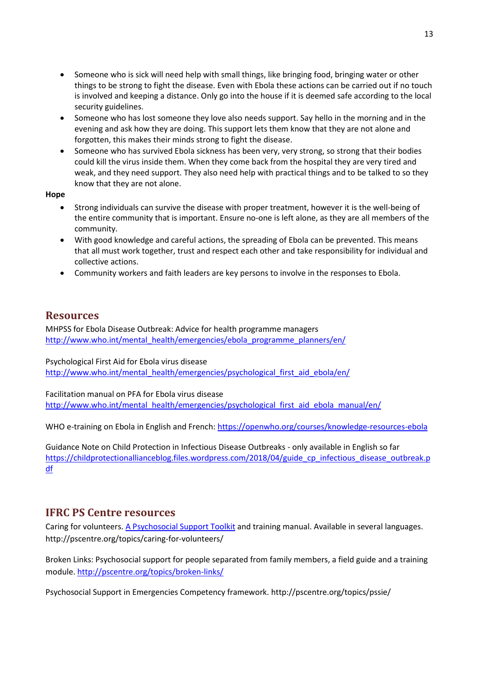- Someone who is sick will need help with small things, like bringing food, bringing water or other things to be strong to fight the disease. Even with Ebola these actions can be carried out if no touch is involved and keeping a distance. Only go into the house if it is deemed safe according to the local security guidelines.
- Someone who has lost someone they love also needs support. Say hello in the morning and in the evening and ask how they are doing. This support lets them know that they are not alone and forgotten, this makes their minds strong to fight the disease.
- Someone who has survived Ebola sickness has been very, very strong, so strong that their bodies could kill the virus inside them. When they come back from the hospital they are very tired and weak, and they need support. They also need help with practical things and to be talked to so they know that they are not alone.

#### **Hope**

- Strong individuals can survive the disease with proper treatment, however it is the well-being of the entire community that is important. Ensure no-one is left alone, as they are all members of the community.
- With good knowledge and careful actions, the spreading of Ebola can be prevented. This means that all must work together, trust and respect each other and take responsibility for individual and collective actions.
- Community workers and faith leaders are key persons to involve in the responses to Ebola.

## <span id="page-12-0"></span>**Resources**

MHPSS for Ebola Disease Outbreak: Advice for health programme managers [http://www.who.int/mental\\_health/emergencies/ebola\\_programme\\_planners/en/](http://www.who.int/mental_health/emergencies/ebola_programme_planners/en/)

Psychological First Aid for Ebola virus disease [http://www.who.int/mental\\_health/emergencies/psychological\\_first\\_aid\\_ebola/en/](http://www.who.int/mental_health/emergencies/psychological_first_aid_ebola/en/)

Facilitation manual on PFA for Ebola virus disease [http://www.who.int/mental\\_health/emergencies/psychological\\_first\\_aid\\_ebola\\_manual/en/](http://www.who.int/mental_health/emergencies/psychological_first_aid_ebola_manual/en/)

WHO e-training on Ebola in English and French:<https://openwho.org/courses/knowledge-resources-ebola>

Guidance Note on Child Protection in Infectious Disease Outbreaks - only available in English so far [https://childprotectionallianceblog.files.wordpress.com/2018/04/guide\\_cp\\_infectious\\_disease\\_outbreak.p](https://childprotectionallianceblog.files.wordpress.com/2018/04/guide_cp_infectious_disease_outbreak.pdf) [df](https://childprotectionallianceblog.files.wordpress.com/2018/04/guide_cp_infectious_disease_outbreak.pdf)

## **IFRC PS Centre resources**

Caring for volunteers. [A Psychosocial Support Toolkit](http://pscentre.org/wp-content/uploads/volunteers_EN.pdf) and training manual. Available in several languages. http://pscentre.org/topics/caring-for-volunteers/

[Broken Links: Psychosocial support for people separated from family members, a field guide](http://pscentre.org/wp-content/uploads/1701_psc_brokenlinks_field_T2.pdf) and a training module. <http://pscentre.org/topics/broken-links/>

Psychosocial Support in Emergencies Competency framework. http://pscentre.org/topics/pssie/